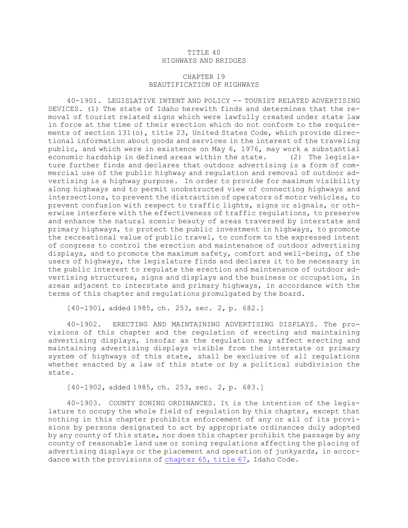## TITLE 40 HIGHWAYS AND BRIDGES

## CHAPTER 19 BEAUTIFICATION OF HIGHWAYS

40-1901. LEGISLATIVE INTENT AND POLICY -- TOURIST RELATED ADVERTISING DEVICES. (1) The state of Idaho herewith finds and determines that the removal of tourist related signs which were lawfully created under state law in force at the time of their erection which do not conform to the requirements of section 131(o), title 23, United States Code, which provide directional information about goods and services in the interest of the traveling public, and which were in existence on May 6, 1976, may work <sup>a</sup> substantial economic hardship in defined areas within the state. (2) The legislature further finds and declares that outdoor advertising is <sup>a</sup> form of commercial use of the public highway and regulation and removal of outdoor advertising is <sup>a</sup> highway purpose. In order to provide for maximum visibility along highways and to permit unobstructed view of connecting highways and intersections, to prevent the distraction of operators of motor vehicles, to prevent confusion with respect to traffic lights, signs or signals, or otherwise interfere with the effectiveness of traffic regulations, to preserve and enhance the natural scenic beauty of areas traversed by interstate and primary highways, to protect the public investment in highways, to promote the recreational value of public travel, to conform to the expressed intent of congress to control the erection and maintenance of outdoor advertising displays, and to promote the maximum safety, comfort and well-being, of the users of highways, the legislature finds and declares it to be necessary in the public interest to regulate the erection and maintenance of outdoor advertising structures, signs and displays and the business or occupation, in areas adjacent to interstate and primary highways, in accordance with the terms of this chapter and regulations promulgated by the board.

[40-1901, added 1985, ch. 253, sec. 2, p. 682.]

40-1902. ERECTING AND MAINTAINING ADVERTISING DISPLAYS. The provisions of this chapter and the regulation of erecting and maintaining advertising displays, insofar as the regulation may affect erecting and maintaining advertising displays visible from the interstate or primary system of highways of this state, shall be exclusive of all regulations whether enacted by <sup>a</sup> law of this state or by <sup>a</sup> political subdivision the state.

[40-1902, added 1985, ch. 253, sec. 2, p. 683.]

40-1903. COUNTY ZONING ORDINANCES. It is the intention of the legislature to occupy the whole field of regulation by this chapter, except that nothing in this chapter prohibits enforcement of any or all of its provisions by persons designated to act by appropriate ordinances duly adopted by any county of this state, nor does this chapter prohibit the passage by any county of reasonable land use or zoning regulations affecting the placing of advertising displays or the placement and operation of junkyards, in accordance with the provisions of [chapter](https://legislature.idaho.gov/statutesrules/idstat/Title67/T67CH65) 65, title 67, Idaho Code.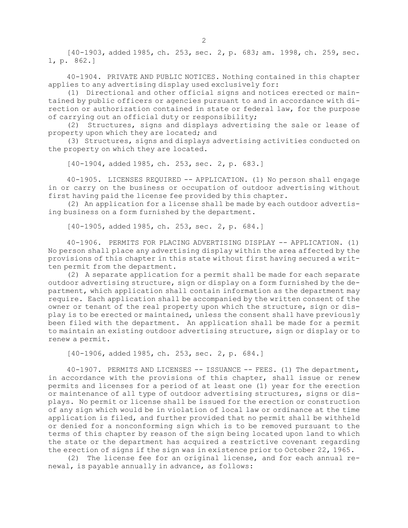[40-1903, added 1985, ch. 253, sec. 2, p. 683; am. 1998, ch. 259, sec. 1, p. 862.]

40-1904. PRIVATE AND PUBLIC NOTICES. Nothing contained in this chapter applies to any advertising display used exclusively for:

(1) Directional and other official signs and notices erected or maintained by public officers or agencies pursuant to and in accordance with direction or authorization contained in state or federal law, for the purpose of carrying out an official duty or responsibility;

(2) Structures, signs and displays advertising the sale or lease of property upon which they are located; and

(3) Structures, signs and displays advertising activities conducted on the property on which they are located.

[40-1904, added 1985, ch. 253, sec. 2, p. 683.]

40-1905. LICENSES REQUIRED -- APPLICATION. (1) No person shall engage in or carry on the business or occupation of outdoor advertising without first having paid the license fee provided by this chapter.

(2) An application for <sup>a</sup> license shall be made by each outdoor advertising business on <sup>a</sup> form furnished by the department.

[40-1905, added 1985, ch. 253, sec. 2, p. 684.]

40-1906. PERMITS FOR PLACING ADVERTISING DISPLAY -- APPLICATION. (1) No person shall place any advertising display within the area affected by the provisions of this chapter in this state without first having secured <sup>a</sup> written permit from the department.

(2) <sup>A</sup> separate application for <sup>a</sup> permit shall be made for each separate outdoor advertising structure, sign or display on <sup>a</sup> form furnished by the department, which application shall contain information as the department may require. Each application shall be accompanied by the written consent of the owner or tenant of the real property upon which the structure, sign or display is to be erected or maintained, unless the consent shall have previously been filed with the department. An application shall be made for <sup>a</sup> permit to maintain an existing outdoor advertising structure, sign or display or to renew <sup>a</sup> permit.

[40-1906, added 1985, ch. 253, sec. 2, p. 684.]

40-1907. PERMITS AND LICENSES -- ISSUANCE -- FEES. (1) The department, in accordance with the provisions of this chapter, shall issue or renew permits and licenses for <sup>a</sup> period of at least one (1) year for the erection or maintenance of all type of outdoor advertising structures, signs or displays. No permit or license shall be issued for the erection or construction of any sign which would be in violation of local law or ordinance at the time application is filed, and further provided that no permit shall be withheld or denied for <sup>a</sup> nonconforming sign which is to be removed pursuant to the terms of this chapter by reason of the sign being located upon land to which the state or the department has acquired <sup>a</sup> restrictive covenant regarding the erection of signs if the sign was in existence prior to October 22, 1965.

(2) The license fee for an original license, and for each annual renewal, is payable annually in advance, as follows: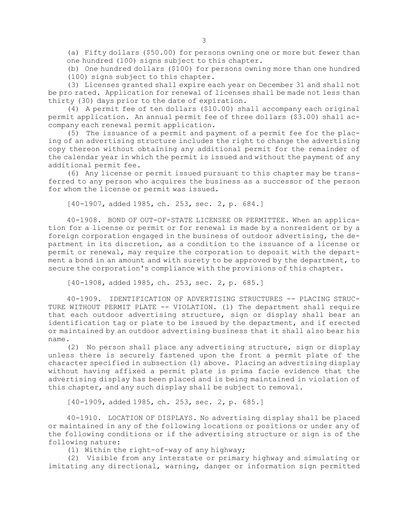(a) Fifty dollars (\$50.00) for persons owning one or more but fewer than one hundred (100) signs subject to this chapter.

(b) One hundred dollars (\$100) for persons owning more than one hundred (100) signs subject to this chapter.

(3) Licenses granted shall expire each year on December 31 and shall not be pro rated. Application for renewal of licenses shall be made not less than thirty (30) days prior to the date of expiration.

(4) <sup>A</sup> permit fee of ten dollars (\$10.00) shall accompany each original permit application. An annual permit fee of three dollars (\$3.00) shall accompany each renewal permit application.

(5) The issuance of <sup>a</sup> permit and payment of <sup>a</sup> permit fee for the placing of an advertising structure includes the right to change the advertising copy thereon without obtaining any additional permit for the remainder of the calendar year in which the permit is issued and without the payment of any additional permit fee.

(6) Any license or permit issued pursuant to this chapter may be transferred to any person who acquires the business as <sup>a</sup> successor of the person for whom the license or permit was issued.

[40-1907, added 1985, ch. 253, sec. 2, p. 684.]

40-1908. BOND OF OUT-OF-STATE LICENSEE OR PERMITTEE. When an application for <sup>a</sup> license or permit or for renewal is made by <sup>a</sup> nonresident or by <sup>a</sup> foreign corporation engaged in the business of outdoor advertising, the department in its discretion, as <sup>a</sup> condition to the issuance of <sup>a</sup> license or permit or renewal, may require the corporation to deposit with the department <sup>a</sup> bond in an amount and with surety to be approved by the department, to secure the corporation's compliance with the provisions of this chapter.

[40-1908, added 1985, ch. 253, sec. 2, p. 685.]

40-1909. IDENTIFICATION OF ADVERTISING STRUCTURES -- PLACING STRUC-TURE WITHOUT PERMIT PLATE -- VIOLATION. (1) The department shall require that each outdoor advertising structure, sign or display shall bear an identification tag or plate to be issued by the department, and if erected or maintained by an outdoor advertising business that it shall also bear his name.

(2) No person shall place any advertising structure, sign or display unless there is securely fastened upon the front <sup>a</sup> permit plate of the character specified in subsection (1) above. Placing an advertising display without having affixed <sup>a</sup> permit plate is prima facie evidence that the advertising display has been placed and is being maintained in violation of this chapter, and any such display shall be subject to removal.

[40-1909, added 1985, ch. 253, sec. 2, p. 685.]

40-1910. LOCATION OF DISPLAYS. No advertising display shall be placed or maintained in any of the following locations or positions or under any of the following conditions or if the advertising structure or sign is of the following nature:

(1) Within the right-of-way of any highway;

(2) Visible from any interstate or primary highway and simulating or imitating any directional, warning, danger or information sign permitted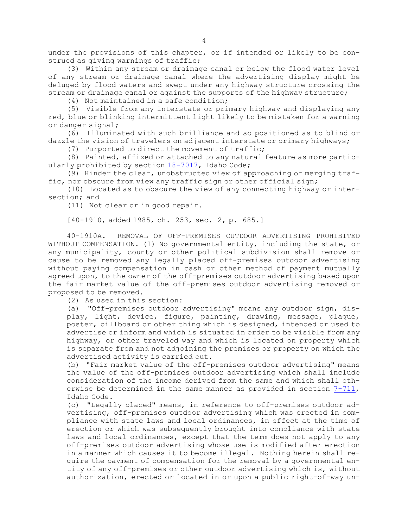under the provisions of this chapter, or if intended or likely to be construed as giving warnings of traffic;

(3) Within any stream or drainage canal or below the flood water level of any stream or drainage canal where the advertising display might be deluged by flood waters and swept under any highway structure crossing the stream or drainage canal or against the supports of the highway structure;

(4) Not maintained in <sup>a</sup> safe condition;

(5) Visible from any interstate or primary highway and displaying any red, blue or blinking intermittent light likely to be mistaken for <sup>a</sup> warning or danger signal;

(6) Illuminated with such brilliance and so positioned as to blind or dazzle the vision of travelers on adjacent interstate or primary highways;

(7) Purported to direct the movement of traffic;

(8) Painted, affixed or attached to any natural feature as more particularly prohibited by section [18-7017](https://legislature.idaho.gov/statutesrules/idstat/Title18/T18CH70/SECT18-7017), Idaho Code;

(9) Hinder the clear, unobstructed view of approaching or merging traffic, nor obscure from view any traffic sign or other official sign;

(10) Located as to obscure the view of any connecting highway or intersection; and

(11) Not clear or in good repair.

[40-1910, added 1985, ch. 253, sec. 2, p. 685.]

40-1910A. REMOVAL OF OFF-PREMISES OUTDOOR ADVERTISING PROHIBITED WITHOUT COMPENSATION. (1) No governmental entity, including the state, or any municipality, county or other political subdivision shall remove or cause to be removed any legally placed off-premises outdoor advertising without paying compensation in cash or other method of payment mutually agreed upon, to the owner of the off-premises outdoor advertising based upon the fair market value of the off-premises outdoor advertising removed or proposed to be removed.

(2) As used in this section:

(a) "Off-premises outdoor advertising" means any outdoor sign, display, light, device, figure, painting, drawing, message, plaque, poster, billboard or other thing which is designed, intended or used to advertise or inform and which is situated in order to be visible from any highway, or other traveled way and which is located on property which is separate from and not adjoining the premises or property on which the advertised activity is carried out.

(b) "Fair market value of the off-premises outdoor advertising" means the value of the off-premises outdoor advertising which shall include consideration of the income derived from the same and which shall otherwise be determined in the same manner as provided in section [7-711](https://legislature.idaho.gov/statutesrules/idstat/Title7/T7CH7/SECT7-711), Idaho Code.

(c) "Legally placed" means, in reference to off-premises outdoor advertising, off-premises outdoor advertising which was erected in compliance with state laws and local ordinances, in effect at the time of erection or which was subsequently brought into compliance with state laws and local ordinances, except that the term does not apply to any off-premises outdoor advertising whose use is modified after erection in <sup>a</sup> manner which causes it to become illegal. Nothing herein shall require the payment of compensation for the removal by <sup>a</sup> governmental entity of any off-premises or other outdoor advertising which is, without authorization, erected or located in or upon <sup>a</sup> public right-of-way un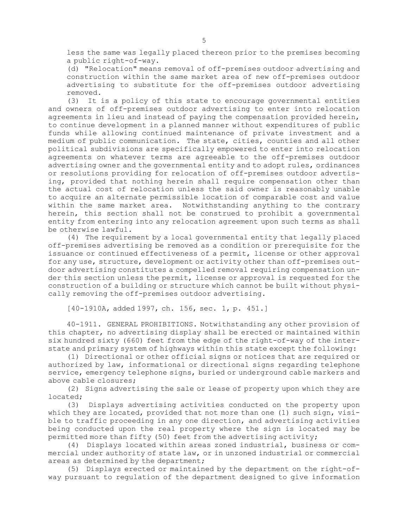less the same was legally placed thereon prior to the premises becoming <sup>a</sup> public right-of-way.

(d) "Relocation" means removal of off-premises outdoor advertising and construction within the same market area of new off-premises outdoor advertising to substitute for the off-premises outdoor advertising removed.

(3) It is <sup>a</sup> policy of this state to encourage governmental entities and owners of off-premises outdoor advertising to enter into relocation agreements in lieu and instead of paying the compensation provided herein, to continue development in <sup>a</sup> planned manner without expenditures of public funds while allowing continued maintenance of private investment and <sup>a</sup> medium of public communication. The state, cities, counties and all other political subdivisions are specifically empowered to enter into relocation agreements on whatever terms are agreeable to the off-premises outdoor advertising owner and the governmental entity and to adopt rules, ordinances or resolutions providing for relocation of off-premises outdoor advertising, provided that nothing herein shall require compensation other than the actual cost of relocation unless the said owner is reasonably unable to acquire an alternate permissible location of comparable cost and value within the same market area. Notwithstanding anything to the contrary herein, this section shall not be construed to prohibit <sup>a</sup> governmental entity from entering into any relocation agreement upon such terms as shall be otherwise lawful.

(4) The requirement by <sup>a</sup> local governmental entity that legally placed off-premises advertising be removed as <sup>a</sup> condition or prerequisite for the issuance or continued effectiveness of <sup>a</sup> permit, license or other approval for any use, structure, development or activity other than off-premises outdoor advertising constitutes <sup>a</sup> compelled removal requiring compensation under this section unless the permit, license or approval is requested for the construction of <sup>a</sup> building or structure which cannot be built without physically removing the off-premises outdoor advertising.

[40-1910A, added 1997, ch. 156, sec. 1, p. 451.]

40-1911. GENERAL PROHIBITIONS. Notwithstanding any other provision of this chapter, no advertising display shall be erected or maintained within six hundred sixty (660) feet from the edge of the right-of-way of the interstate and primary system of highways within this state except the following:

(1) Directional or other official signs or notices that are required or authorized by law, informational or directional signs regarding telephone service, emergency telephone signs, buried or underground cable markers and above cable closures;

(2) Signs advertising the sale or lease of property upon which they are located;

(3) Displays advertising activities conducted on the property upon which they are located, provided that not more than one (1) such sign, visible to traffic proceeding in any one direction, and advertising activities being conducted upon the real property where the sign is located may be permitted more than fifty (50) feet from the advertising activity;

(4) Displays located within areas zoned industrial, business or commercial under authority of state law, or in unzoned industrial or commercial areas as determined by the department;

(5) Displays erected or maintained by the department on the right-ofway pursuant to regulation of the department designed to give information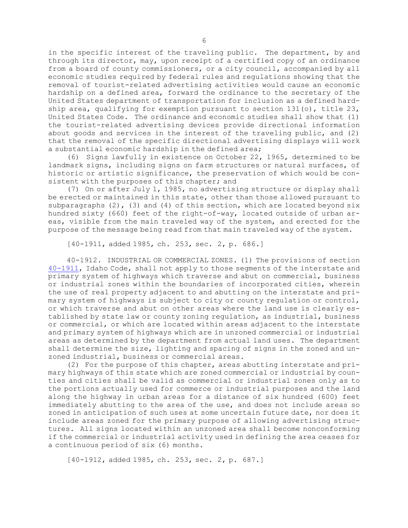in the specific interest of the traveling public. The department, by and through its director, may, upon receipt of <sup>a</sup> certified copy of an ordinance from <sup>a</sup> board of county commissioners, or <sup>a</sup> city council, accompanied by all economic studies required by federal rules and regulations showing that the removal of tourist-related advertising activities would cause an economic hardship on <sup>a</sup> defined area, forward the ordinance to the secretary of the United States department of transportation for inclusion as <sup>a</sup> defined hardship area, qualifying for exemption pursuant to section 131(o), title 23, United States Code. The ordinance and economic studies shall show that (1) the tourist-related advertising devices provide directional information about goods and services in the interest of the traveling public, and (2) that the removal of the specific directional advertising displays will work <sup>a</sup> substantial economic hardship in the defined area;

(6) Signs lawfully in existence on October 22, 1965, determined to be landmark signs, including signs on farm structures or natural surfaces, of historic or artistic significance, the preservation of which would be consistent with the purposes of this chapter; and

(7) On or after July 1, 1985, no advertising structure or display shall be erected or maintained in this state, other than those allowed pursuant to subparagraphs  $(2)$ ,  $(3)$  and  $(4)$  of this section, which are located beyond six hundred sixty (660) feet of the right-of-way, located outside of urban areas, visible from the main traveled way of the system, and erected for the purpose of the message being read from that main traveled way of the system.

[40-1911, added 1985, ch. 253, sec. 2, p. 686.]

40-1912. INDUSTRIAL OR COMMERCIAL ZONES. (1) The provisions of section [40-1911](https://legislature.idaho.gov/statutesrules/idstat/Title40/T40CH19/SECT40-1911), Idaho Code, shall not apply to those segments of the interstate and primary system of highways which traverse and abut on commercial, business or industrial zones within the boundaries of incorporated cities, wherein the use of real property adjacent to and abutting on the interstate and primary system of highways is subject to city or county regulation or control, or which traverse and abut on other areas where the land use is clearly established by state law or county zoning regulation, as industrial, business or commercial, or which are located within areas adjacent to the interstate and primary system of highways which are in unzoned commercial or industrial areas as determined by the department from actual land uses. The department shall determine the size, lighting and spacing of signs in the zoned and unzoned industrial, business or commercial areas.

(2) For the purpose of this chapter, areas abutting interstate and primary highways of this state which are zoned commercial or industrial by counties and cities shall be valid as commercial or industrial zones only as to the portions actually used for commerce or industrial purposes and the land along the highway in urban areas for <sup>a</sup> distance of six hundred (600) feet immediately abutting to the area of the use, and does not include areas so zoned in anticipation of such uses at some uncertain future date, nor does it include areas zoned for the primary purpose of allowing advertising structures. All signs located within an unzoned area shall become nonconforming if the commercial or industrial activity used in defining the area ceases for <sup>a</sup> continuous period of six (6) months.

[40-1912, added 1985, ch. 253, sec. 2, p. 687.]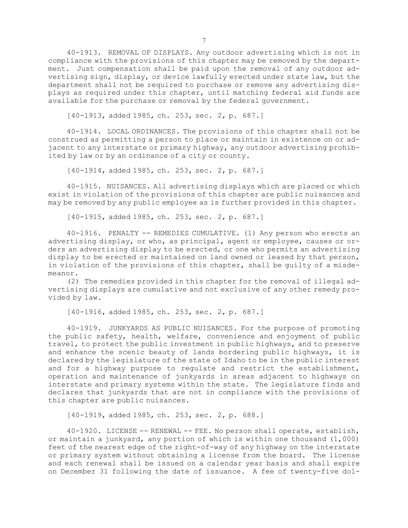40-1913. REMOVAL OF DISPLAYS. Any outdoor advertising which is not in compliance with the provisions of this chapter may be removed by the department. Just compensation shall be paid upon the removal of any outdoor advertising sign, display, or device lawfully erected under state law, but the department shall not be required to purchase or remove any advertising displays as required under this chapter, until matching federal aid funds are available for the purchase or removal by the federal government.

[40-1913, added 1985, ch. 253, sec. 2, p. 687.]

40-1914. LOCAL ORDINANCES. The provisions of this chapter shall not be construed as permitting <sup>a</sup> person to place or maintain in existence on or adjacent to any interstate or primary highway, any outdoor advertising prohibited by law or by an ordinance of <sup>a</sup> city or county.

[40-1914, added 1985, ch. 253, sec. 2, p. 687.]

40-1915. NUISANCES. All advertising displays which are placed or which exist in violation of the provisions of this chapter are public nuisances and may be removed by any public employee as is further provided in this chapter.

[40-1915, added 1985, ch. 253, sec. 2, p. 687.]

40-1916. PENALTY -- REMEDIES CUMULATIVE. (1) Any person who erects an advertising display, or who, as principal, agent or employee, causes or orders an advertising display to be erected, or one who permits an advertising display to be erected or maintained on land owned or leased by that person, in violation of the provisions of this chapter, shall be guilty of <sup>a</sup> misdemeanor.

(2) The remedies provided in this chapter for the removal of illegal advertising displays are cumulative and not exclusive of any other remedy provided by law.

[40-1916, added 1985, ch. 253, sec. 2, p. 687.]

40-1919. JUNKYARDS AS PUBLIC NUISANCES. For the purpose of promoting the public safety, health, welfare, convenience and enjoyment of public travel, to protect the public investment in public highways, and to preserve and enhance the scenic beauty of lands bordering public highways, it is declared by the legislature of the state of Idaho to be in the public interest and for <sup>a</sup> highway purpose to regulate and restrict the establishment, operation and maintenance of junkyards in areas adjacent to highways on interstate and primary systems within the state. The legislature finds and declares that junkyards that are not in compliance with the provisions of this chapter are public nuisances.

[40-1919, added 1985, ch. 253, sec. 2, p. 688.]

40-1920. LICENSE -- RENEWAL -- FEE. No person shall operate, establish, or maintain <sup>a</sup> junkyard, any portion of which is within one thousand (1,000) feet of the nearest edge of the right-of-way of any highway on the interstate or primary system without obtaining <sup>a</sup> license from the board. The license and each renewal shall be issued on <sup>a</sup> calendar year basis and shall expire on December 31 following the date of issuance. <sup>A</sup> fee of twenty-five dol-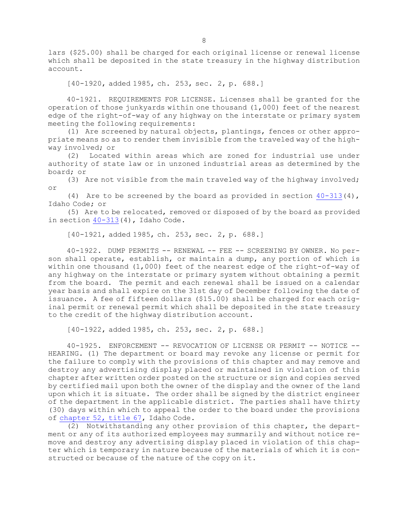lars (\$25.00) shall be charged for each original license or renewal license which shall be deposited in the state treasury in the highway distribution account.

[40-1920, added 1985, ch. 253, sec. 2, p. 688.]

40-1921. REQUIREMENTS FOR LICENSE. Licenses shall be granted for the operation of those junkyards within one thousand (1,000) feet of the nearest edge of the right-of-way of any highway on the interstate or primary system meeting the following requirements:

(1) Are screened by natural objects, plantings, fences or other appropriate means so as to render them invisible from the traveled way of the highway involved; or

(2) Located within areas which are zoned for industrial use under authority of state law or in unzoned industrial areas as determined by the board; or

(3) Are not visible from the main traveled way of the highway involved; or

(4) Are to be screened by the board as provided in section  $40-313(4)$  $40-313(4)$ , Idaho Code; or

(5) Are to be relocated, removed or disposed of by the board as provided in section [40-313](https://legislature.idaho.gov/statutesrules/idstat/Title40/T40CH3/SECT40-313)(4), Idaho Code.

[40-1921, added 1985, ch. 253, sec. 2, p. 688.]

40-1922. DUMP PERMITS -- RENEWAL -- FEE -- SCREENING BY OWNER. No person shall operate, establish, or maintain <sup>a</sup> dump, any portion of which is within one thousand  $(1,000)$  feet of the nearest edge of the right-of-way of any highway on the interstate or primary system without obtaining <sup>a</sup> permit from the board. The permit and each renewal shall be issued on <sup>a</sup> calendar year basis and shall expire on the 31st day of December following the date of issuance. <sup>A</sup> fee of fifteen dollars (\$15.00) shall be charged for each original permit or renewal permit which shall be deposited in the state treasury to the credit of the highway distribution account.

[40-1922, added 1985, ch. 253, sec. 2, p. 688.]

40-1925. ENFORCEMENT -- REVOCATION OF LICENSE OR PERMIT -- NOTICE -- HEARING. (1) The department or board may revoke any license or permit for the failure to comply with the provisions of this chapter and may remove and destroy any advertising display placed or maintained in violation of this chapter after written order posted on the structure or sign and copies served by certified mail upon both the owner of the display and the owner of the land upon which it is situate. The order shall be signed by the district engineer of the department in the applicable district. The parties shall have thirty (30) days within which to appeal the order to the board under the provisions of [chapter](https://legislature.idaho.gov/statutesrules/idstat/Title67/T67CH52) 52, title 67, Idaho Code.

(2) Notwithstanding any other provision of this chapter, the department or any of its authorized employees may summarily and without notice remove and destroy any advertising display placed in violation of this chapter which is temporary in nature because of the materials of which it is constructed or because of the nature of the copy on it.